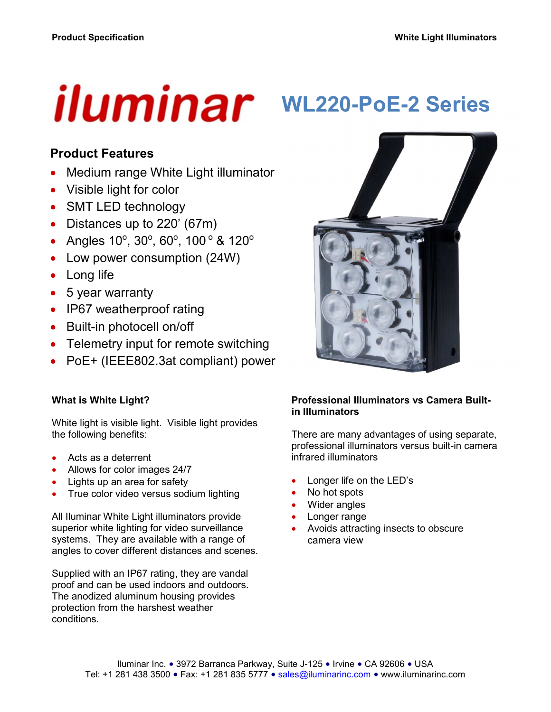# iluminar

# **WL220-PoE-2 Series**

## **Product Features**

- Medium range White Light illuminator
- Visible light for color
- SMT LED technology
- Distances up to 220' (67m)
- Angles  $10^{\circ}$ ,  $30^{\circ}$ ,  $60^{\circ}$ ,  $100^{\circ}$  &  $120^{\circ}$
- Low power consumption (24W)
- Long life
- 5 year warranty
- IP67 weatherproof rating
- Built-in photocell on/off
- Telemetry input for remote switching
- PoE+ (IEEE802.3at compliant) power

#### **What is White Light?**

White light is visible light. Visible light provides the following benefits:

- Acts as a deterrent
- Allows for color images 24/7
- Lights up an area for safety
- True color video versus sodium lighting

All Iluminar White Light illuminators provide superior white lighting for video surveillance systems. They are available with a range of angles to cover different distances and scenes.

Supplied with an IP67 rating, they are vandal proof and can be used indoors and outdoors. The anodized aluminum housing provides protection from the harshest weather conditions.



#### **Professional Illuminators vs Camera Builtin Illuminators**

There are many advantages of using separate, professional illuminators versus built-in camera infrared illuminators

- Longer life on the LED's
- No hot spots
- Wider angles
- Longer range
- Avoids attracting insects to obscure camera view